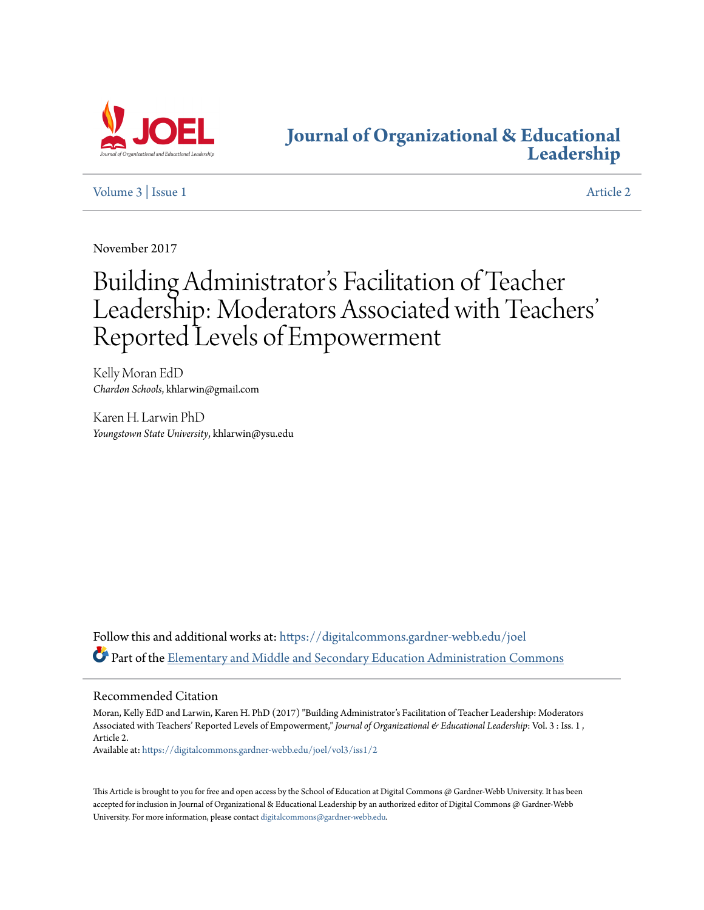

## **[Journal of Organizational & Educational](https://digitalcommons.gardner-webb.edu/joel?utm_source=digitalcommons.gardner-webb.edu%2Fjoel%2Fvol3%2Fiss1%2F2&utm_medium=PDF&utm_campaign=PDFCoverPages) [Leadership](https://digitalcommons.gardner-webb.edu/joel?utm_source=digitalcommons.gardner-webb.edu%2Fjoel%2Fvol3%2Fiss1%2F2&utm_medium=PDF&utm_campaign=PDFCoverPages)**

[Volume 3](https://digitalcommons.gardner-webb.edu/joel/vol3?utm_source=digitalcommons.gardner-webb.edu%2Fjoel%2Fvol3%2Fiss1%2F2&utm_medium=PDF&utm_campaign=PDFCoverPages) | [Issue 1](https://digitalcommons.gardner-webb.edu/joel/vol3/iss1?utm_source=digitalcommons.gardner-webb.edu%2Fjoel%2Fvol3%2Fiss1%2F2&utm_medium=PDF&utm_campaign=PDFCoverPages) [Article 2](https://digitalcommons.gardner-webb.edu/joel/vol3/iss1/2?utm_source=digitalcommons.gardner-webb.edu%2Fjoel%2Fvol3%2Fiss1%2F2&utm_medium=PDF&utm_campaign=PDFCoverPages)

November 2017

# Building Administrator 's Facilitation of Teacher Leadership: Moderators Associated with Teachers ' Reported Levels of Empowerment

Kelly Moran EdD *Chardon Schools*, khlarwin@gmail.com

Karen H. Larwin PhD *Youngstown State University*, khlarwin@ysu.edu

Follow this and additional works at: [https://digitalcommons.gardner-webb.edu/joel](https://digitalcommons.gardner-webb.edu/joel?utm_source=digitalcommons.gardner-webb.edu%2Fjoel%2Fvol3%2Fiss1%2F2&utm_medium=PDF&utm_campaign=PDFCoverPages) Part of the [Elementary and Middle and Secondary Education Administration Commons](http://network.bepress.com/hgg/discipline/790?utm_source=digitalcommons.gardner-webb.edu%2Fjoel%2Fvol3%2Fiss1%2F2&utm_medium=PDF&utm_campaign=PDFCoverPages)

### Recommended Citation

Moran, Kelly EdD and Larwin, Karen H. PhD (2017) "Building Administrator's Facilitation of Teacher Leadership: Moderators Associated with Teachers' Reported Levels of Empowerment," *Journal of Organizational & Educational Leadership*: Vol. 3 : Iss. 1 , Article 2.

Available at: [https://digitalcommons.gardner-webb.edu/joel/vol3/iss1/2](https://digitalcommons.gardner-webb.edu/joel/vol3/iss1/2?utm_source=digitalcommons.gardner-webb.edu%2Fjoel%2Fvol3%2Fiss1%2F2&utm_medium=PDF&utm_campaign=PDFCoverPages)

This Article is brought to you for free and open access by the School of Education at Digital Commons @ Gardner-Webb University. It has been accepted for inclusion in Journal of Organizational & Educational Leadership by an authorized editor of Digital Commons @ Gardner-Webb University. For more information, please contact [digitalcommons@gardner-webb.edu.](mailto:digitalcommons@gardner-webb.edu)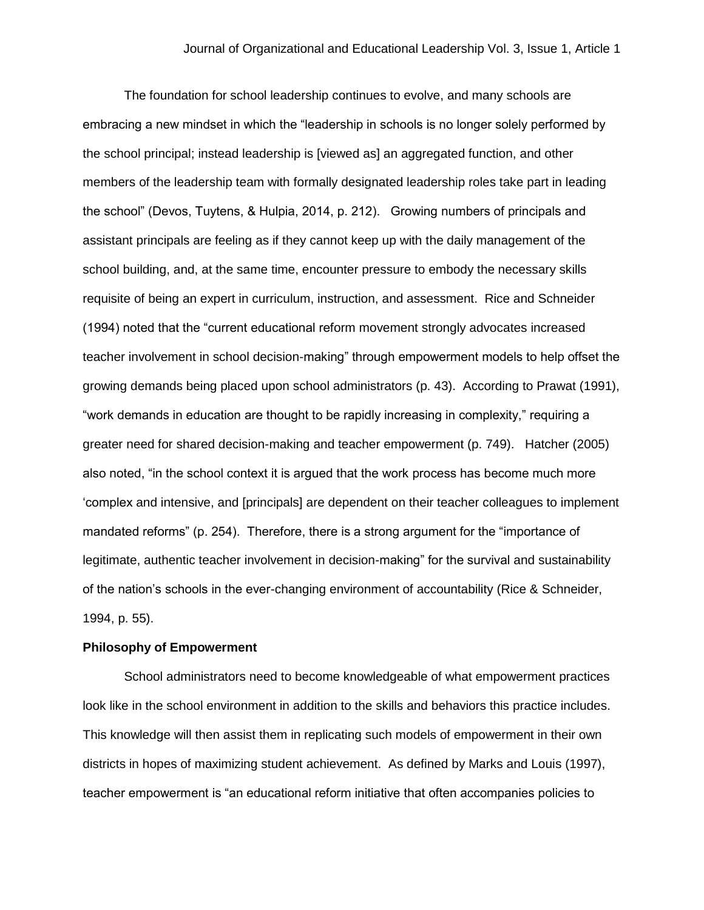The foundation for school leadership continues to evolve, and many schools are embracing a new mindset in which the "leadership in schools is no longer solely performed by the school principal; instead leadership is [viewed as] an aggregated function, and other members of the leadership team with formally designated leadership roles take part in leading the school" (Devos, Tuytens, & Hulpia, 2014, p. 212). Growing numbers of principals and assistant principals are feeling as if they cannot keep up with the daily management of the school building, and, at the same time, encounter pressure to embody the necessary skills requisite of being an expert in curriculum, instruction, and assessment. Rice and Schneider (1994) noted that the "current educational reform movement strongly advocates increased teacher involvement in school decision-making" through empowerment models to help offset the growing demands being placed upon school administrators (p. 43). According to Prawat (1991), "work demands in education are thought to be rapidly increasing in complexity," requiring a greater need for shared decision-making and teacher empowerment (p. 749). Hatcher (2005) also noted, "in the school context it is argued that the work process has become much more 'complex and intensive, and [principals] are dependent on their teacher colleagues to implement mandated reforms" (p. 254). Therefore, there is a strong argument for the "importance of legitimate, authentic teacher involvement in decision-making" for the survival and sustainability of the nation's schools in the ever-changing environment of accountability (Rice & Schneider, 1994, p. 55).

#### **Philosophy of Empowerment**

School administrators need to become knowledgeable of what empowerment practices look like in the school environment in addition to the skills and behaviors this practice includes. This knowledge will then assist them in replicating such models of empowerment in their own districts in hopes of maximizing student achievement. As defined by Marks and Louis (1997), teacher empowerment is "an educational reform initiative that often accompanies policies to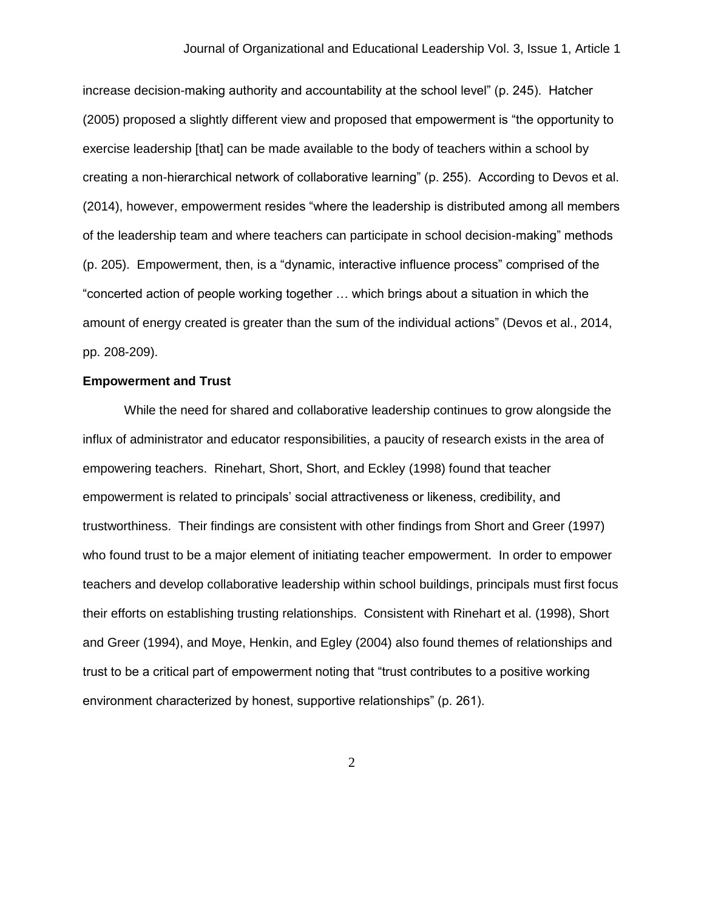increase decision-making authority and accountability at the school level" (p. 245). Hatcher (2005) proposed a slightly different view and proposed that empowerment is "the opportunity to exercise leadership [that] can be made available to the body of teachers within a school by creating a non-hierarchical network of collaborative learning" (p. 255). According to Devos et al. (2014), however, empowerment resides "where the leadership is distributed among all members of the leadership team and where teachers can participate in school decision-making" methods (p. 205). Empowerment, then, is a "dynamic, interactive influence process" comprised of the "concerted action of people working together … which brings about a situation in which the amount of energy created is greater than the sum of the individual actions" (Devos et al., 2014, pp. 208-209).

#### **Empowerment and Trust**

While the need for shared and collaborative leadership continues to grow alongside the influx of administrator and educator responsibilities, a paucity of research exists in the area of empowering teachers. Rinehart, Short, Short, and Eckley (1998) found that teacher empowerment is related to principals' social attractiveness or likeness, credibility, and trustworthiness. Their findings are consistent with other findings from Short and Greer (1997) who found trust to be a major element of initiating teacher empowerment. In order to empower teachers and develop collaborative leadership within school buildings, principals must first focus their efforts on establishing trusting relationships. Consistent with Rinehart et al. (1998), Short and Greer (1994), and Moye, Henkin, and Egley (2004) also found themes of relationships and trust to be a critical part of empowerment noting that "trust contributes to a positive working environment characterized by honest, supportive relationships" (p. 261).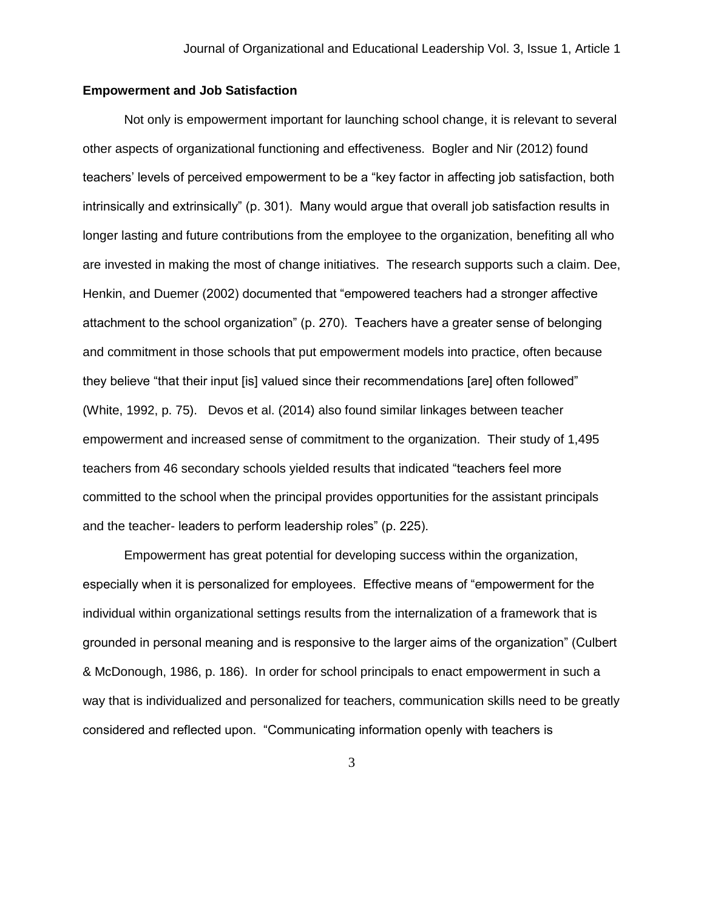## **Empowerment and Job Satisfaction**

Not only is empowerment important for launching school change, it is relevant to several other aspects of organizational functioning and effectiveness. Bogler and Nir (2012) found teachers' levels of perceived empowerment to be a "key factor in affecting job satisfaction, both intrinsically and extrinsically" (p. 301). Many would argue that overall job satisfaction results in longer lasting and future contributions from the employee to the organization, benefiting all who are invested in making the most of change initiatives. The research supports such a claim. Dee, Henkin, and Duemer (2002) documented that "empowered teachers had a stronger affective attachment to the school organization" (p. 270). Teachers have a greater sense of belonging and commitment in those schools that put empowerment models into practice, often because they believe "that their input [is] valued since their recommendations [are] often followed" (White, 1992, p. 75). Devos et al. (2014) also found similar linkages between teacher empowerment and increased sense of commitment to the organization. Their study of 1,495 teachers from 46 secondary schools yielded results that indicated "teachers feel more committed to the school when the principal provides opportunities for the assistant principals and the teacher- leaders to perform leadership roles" (p. 225).

Empowerment has great potential for developing success within the organization, especially when it is personalized for employees. Effective means of "empowerment for the individual within organizational settings results from the internalization of a framework that is grounded in personal meaning and is responsive to the larger aims of the organization" (Culbert & McDonough, 1986, p. 186). In order for school principals to enact empowerment in such a way that is individualized and personalized for teachers, communication skills need to be greatly considered and reflected upon. "Communicating information openly with teachers is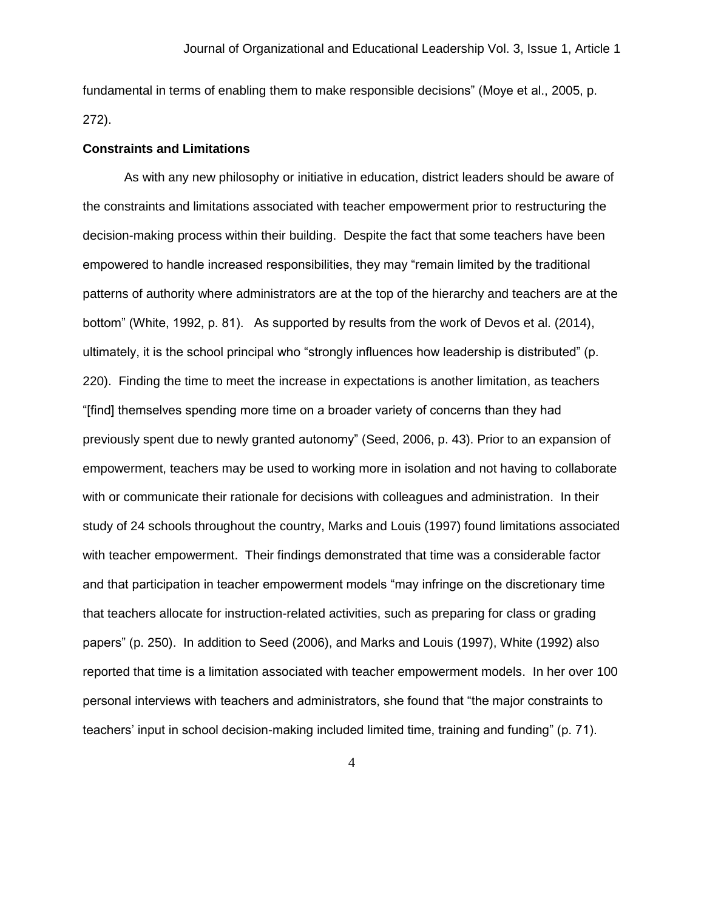fundamental in terms of enabling them to make responsible decisions" (Moye et al., 2005, p. 272).

#### **Constraints and Limitations**

As with any new philosophy or initiative in education, district leaders should be aware of the constraints and limitations associated with teacher empowerment prior to restructuring the decision-making process within their building. Despite the fact that some teachers have been empowered to handle increased responsibilities, they may "remain limited by the traditional patterns of authority where administrators are at the top of the hierarchy and teachers are at the bottom" (White, 1992, p. 81). As supported by results from the work of Devos et al. (2014), ultimately, it is the school principal who "strongly influences how leadership is distributed" (p. 220). Finding the time to meet the increase in expectations is another limitation, as teachers "[find] themselves spending more time on a broader variety of concerns than they had previously spent due to newly granted autonomy" (Seed, 2006, p. 43). Prior to an expansion of empowerment, teachers may be used to working more in isolation and not having to collaborate with or communicate their rationale for decisions with colleagues and administration. In their study of 24 schools throughout the country, Marks and Louis (1997) found limitations associated with teacher empowerment. Their findings demonstrated that time was a considerable factor and that participation in teacher empowerment models "may infringe on the discretionary time that teachers allocate for instruction-related activities, such as preparing for class or grading papers" (p. 250). In addition to Seed (2006), and Marks and Louis (1997), White (1992) also reported that time is a limitation associated with teacher empowerment models. In her over 100 personal interviews with teachers and administrators, she found that "the major constraints to teachers' input in school decision-making included limited time, training and funding" (p. 71).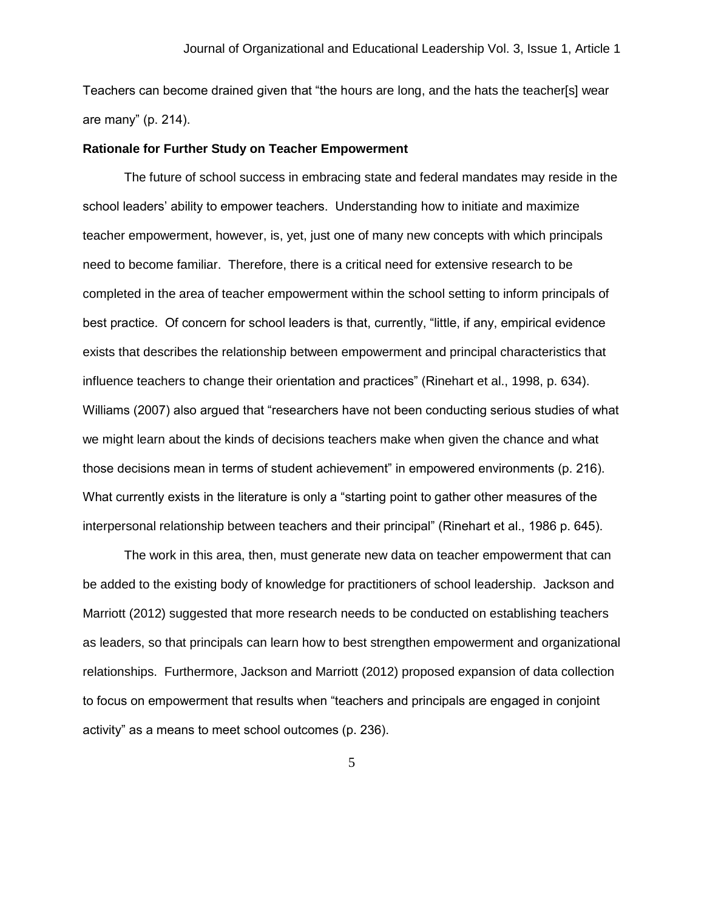Teachers can become drained given that "the hours are long, and the hats the teacher[s] wear are many" (p. 214).

#### **Rationale for Further Study on Teacher Empowerment**

The future of school success in embracing state and federal mandates may reside in the school leaders' ability to empower teachers. Understanding how to initiate and maximize teacher empowerment, however, is, yet, just one of many new concepts with which principals need to become familiar. Therefore, there is a critical need for extensive research to be completed in the area of teacher empowerment within the school setting to inform principals of best practice. Of concern for school leaders is that, currently, "little, if any, empirical evidence exists that describes the relationship between empowerment and principal characteristics that influence teachers to change their orientation and practices" (Rinehart et al., 1998, p. 634). Williams (2007) also argued that "researchers have not been conducting serious studies of what we might learn about the kinds of decisions teachers make when given the chance and what those decisions mean in terms of student achievement" in empowered environments (p. 216). What currently exists in the literature is only a "starting point to gather other measures of the interpersonal relationship between teachers and their principal" (Rinehart et al., 1986 p. 645).

The work in this area, then, must generate new data on teacher empowerment that can be added to the existing body of knowledge for practitioners of school leadership. Jackson and Marriott (2012) suggested that more research needs to be conducted on establishing teachers as leaders, so that principals can learn how to best strengthen empowerment and organizational relationships. Furthermore, Jackson and Marriott (2012) proposed expansion of data collection to focus on empowerment that results when "teachers and principals are engaged in conjoint activity" as a means to meet school outcomes (p. 236).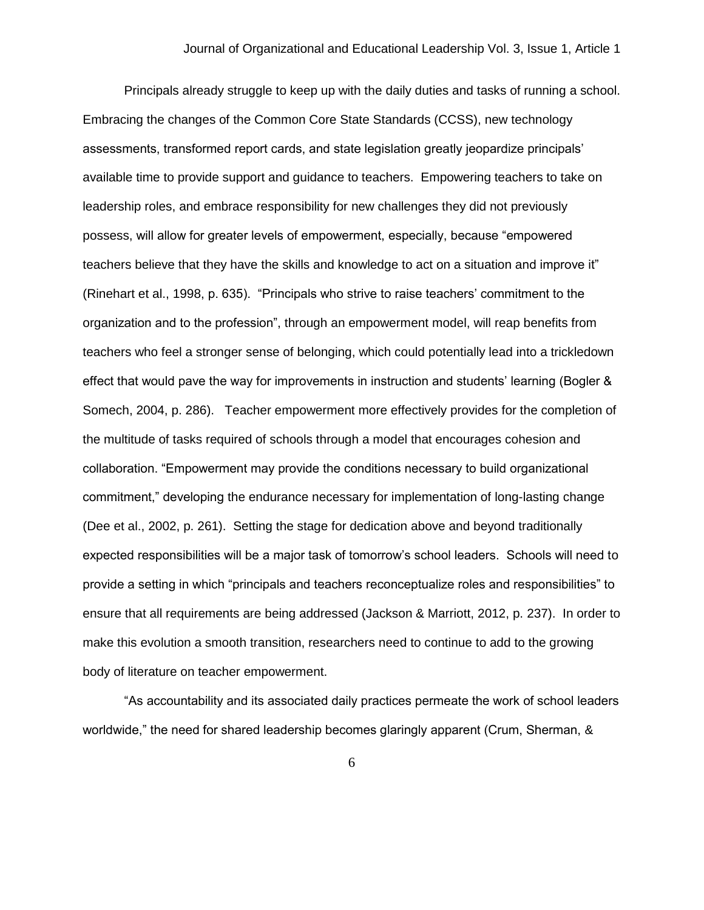Principals already struggle to keep up with the daily duties and tasks of running a school. Embracing the changes of the Common Core State Standards (CCSS), new technology assessments, transformed report cards, and state legislation greatly jeopardize principals' available time to provide support and guidance to teachers. Empowering teachers to take on leadership roles, and embrace responsibility for new challenges they did not previously possess, will allow for greater levels of empowerment, especially, because "empowered teachers believe that they have the skills and knowledge to act on a situation and improve it" (Rinehart et al., 1998, p. 635). "Principals who strive to raise teachers' commitment to the organization and to the profession", through an empowerment model, will reap benefits from teachers who feel a stronger sense of belonging, which could potentially lead into a trickledown effect that would pave the way for improvements in instruction and students' learning (Bogler & Somech, 2004, p. 286). Teacher empowerment more effectively provides for the completion of the multitude of tasks required of schools through a model that encourages cohesion and collaboration. "Empowerment may provide the conditions necessary to build organizational commitment," developing the endurance necessary for implementation of long-lasting change (Dee et al., 2002, p. 261). Setting the stage for dedication above and beyond traditionally expected responsibilities will be a major task of tomorrow's school leaders. Schools will need to provide a setting in which "principals and teachers reconceptualize roles and responsibilities" to ensure that all requirements are being addressed (Jackson & Marriott, 2012, p. 237). In order to make this evolution a smooth transition, researchers need to continue to add to the growing body of literature on teacher empowerment.

"As accountability and its associated daily practices permeate the work of school leaders worldwide," the need for shared leadership becomes glaringly apparent (Crum, Sherman, &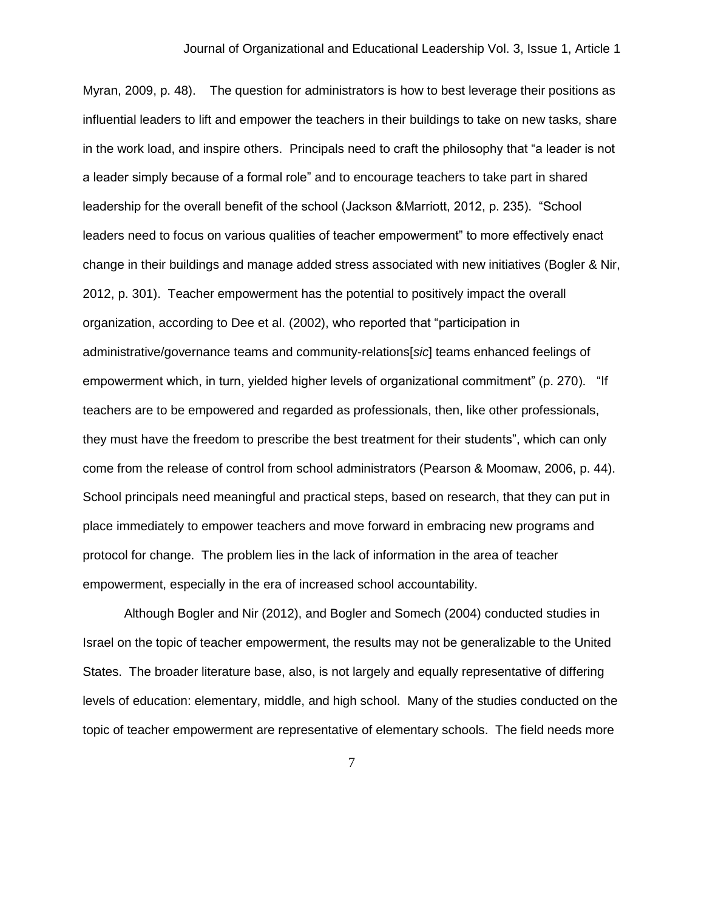Myran, 2009, p. 48). The question for administrators is how to best leverage their positions as influential leaders to lift and empower the teachers in their buildings to take on new tasks, share in the work load, and inspire others. Principals need to craft the philosophy that "a leader is not a leader simply because of a formal role" and to encourage teachers to take part in shared leadership for the overall benefit of the school (Jackson &Marriott, 2012, p. 235). "School leaders need to focus on various qualities of teacher empowerment" to more effectively enact change in their buildings and manage added stress associated with new initiatives (Bogler & Nir, 2012, p. 301). Teacher empowerment has the potential to positively impact the overall organization, according to Dee et al. (2002), who reported that "participation in administrative/governance teams and community-relations[*sic*] teams enhanced feelings of empowerment which, in turn, yielded higher levels of organizational commitment" (p. 270). "If teachers are to be empowered and regarded as professionals, then, like other professionals, they must have the freedom to prescribe the best treatment for their students", which can only come from the release of control from school administrators (Pearson & Moomaw, 2006, p. 44). School principals need meaningful and practical steps, based on research, that they can put in place immediately to empower teachers and move forward in embracing new programs and protocol for change. The problem lies in the lack of information in the area of teacher empowerment, especially in the era of increased school accountability.

Although Bogler and Nir (2012), and Bogler and Somech (2004) conducted studies in Israel on the topic of teacher empowerment, the results may not be generalizable to the United States. The broader literature base, also, is not largely and equally representative of differing levels of education: elementary, middle, and high school. Many of the studies conducted on the topic of teacher empowerment are representative of elementary schools. The field needs more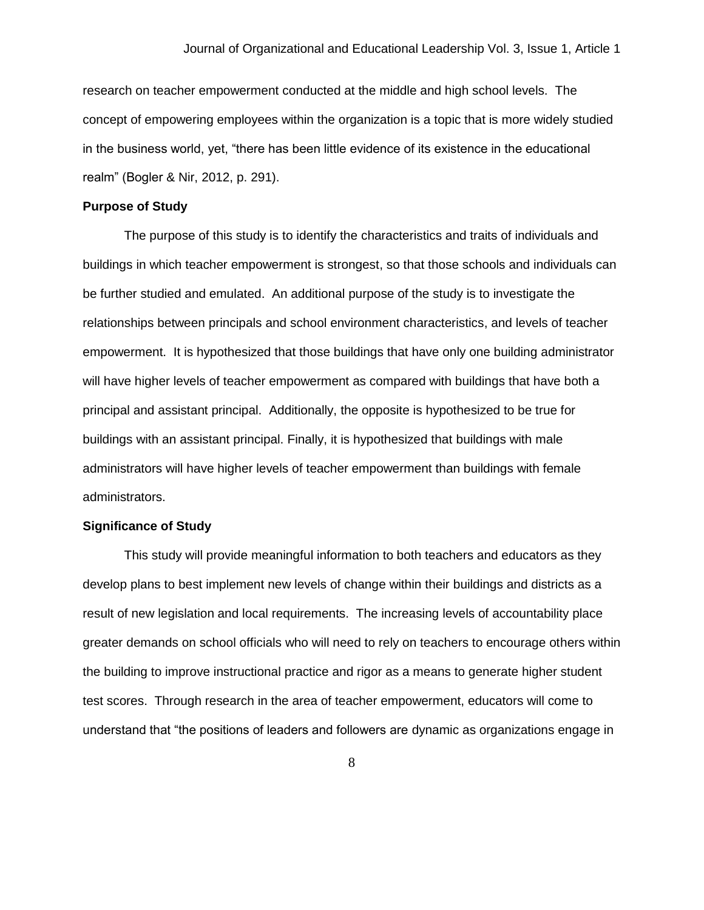research on teacher empowerment conducted at the middle and high school levels. The concept of empowering employees within the organization is a topic that is more widely studied in the business world, yet, "there has been little evidence of its existence in the educational realm" (Bogler & Nir, 2012, p. 291).

#### **Purpose of Study**

The purpose of this study is to identify the characteristics and traits of individuals and buildings in which teacher empowerment is strongest, so that those schools and individuals can be further studied and emulated. An additional purpose of the study is to investigate the relationships between principals and school environment characteristics, and levels of teacher empowerment. It is hypothesized that those buildings that have only one building administrator will have higher levels of teacher empowerment as compared with buildings that have both a principal and assistant principal. Additionally, the opposite is hypothesized to be true for buildings with an assistant principal. Finally, it is hypothesized that buildings with male administrators will have higher levels of teacher empowerment than buildings with female administrators.

#### **Significance of Study**

This study will provide meaningful information to both teachers and educators as they develop plans to best implement new levels of change within their buildings and districts as a result of new legislation and local requirements. The increasing levels of accountability place greater demands on school officials who will need to rely on teachers to encourage others within the building to improve instructional practice and rigor as a means to generate higher student test scores. Through research in the area of teacher empowerment, educators will come to understand that "the positions of leaders and followers are dynamic as organizations engage in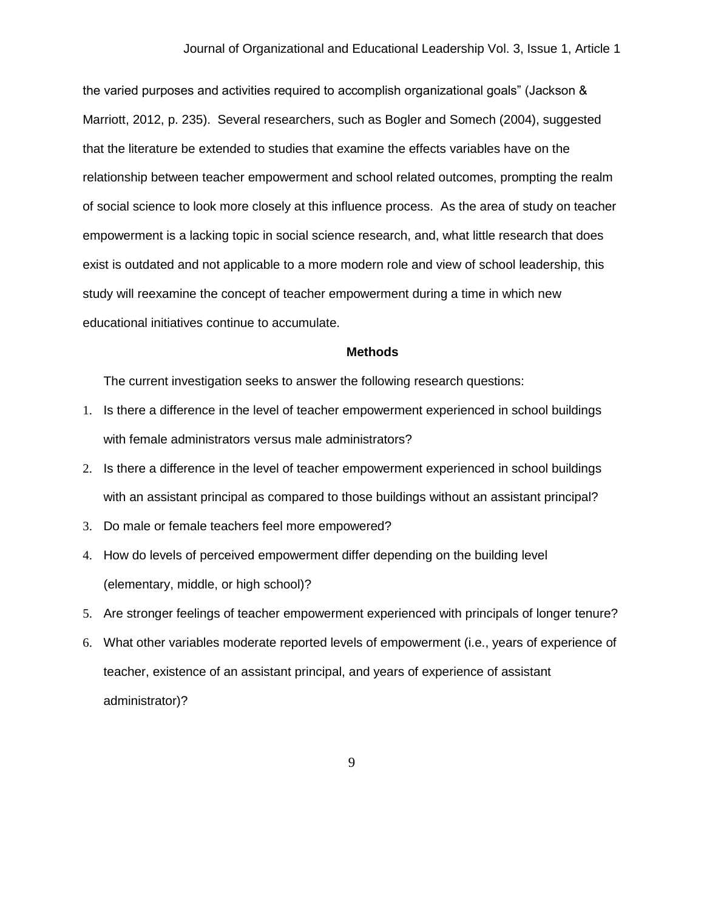the varied purposes and activities required to accomplish organizational goals" (Jackson & Marriott, 2012, p. 235). Several researchers, such as Bogler and Somech (2004), suggested that the literature be extended to studies that examine the effects variables have on the relationship between teacher empowerment and school related outcomes, prompting the realm of social science to look more closely at this influence process. As the area of study on teacher empowerment is a lacking topic in social science research, and, what little research that does exist is outdated and not applicable to a more modern role and view of school leadership, this study will reexamine the concept of teacher empowerment during a time in which new educational initiatives continue to accumulate.

#### **Methods**

The current investigation seeks to answer the following research questions:

- 1. Is there a difference in the level of teacher empowerment experienced in school buildings with female administrators versus male administrators?
- 2. Is there a difference in the level of teacher empowerment experienced in school buildings with an assistant principal as compared to those buildings without an assistant principal?
- 3. Do male or female teachers feel more empowered?
- 4. How do levels of perceived empowerment differ depending on the building level (elementary, middle, or high school)?
- 5. Are stronger feelings of teacher empowerment experienced with principals of longer tenure?
- 6. What other variables moderate reported levels of empowerment (i.e., years of experience of teacher, existence of an assistant principal, and years of experience of assistant administrator)?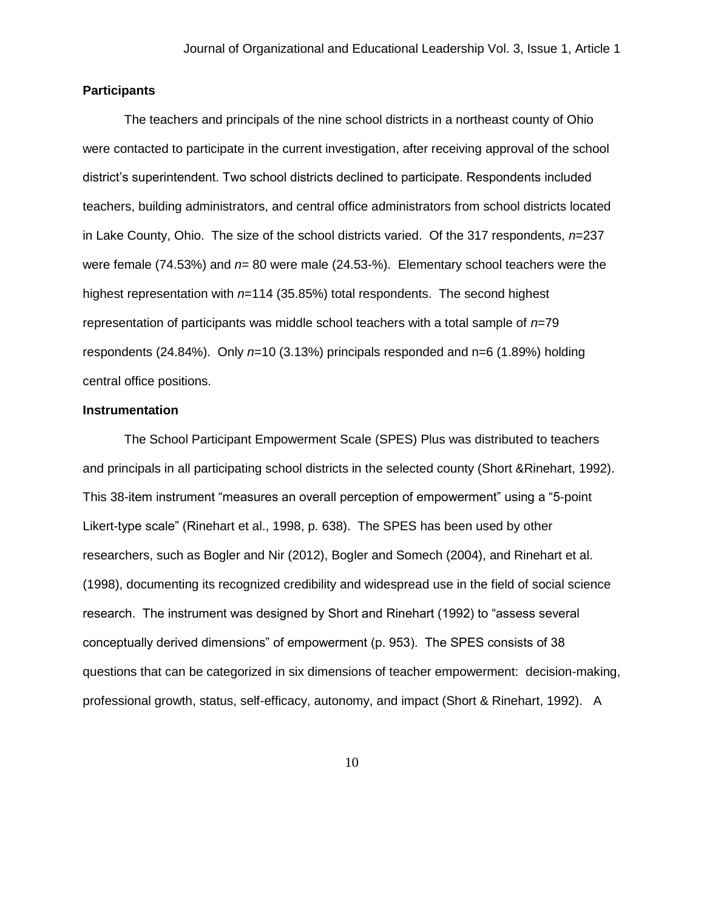#### **Participants**

The teachers and principals of the nine school districts in a northeast county of Ohio were contacted to participate in the current investigation, after receiving approval of the school district's superintendent. Two school districts declined to participate. Respondents included teachers, building administrators, and central office administrators from school districts located in Lake County, Ohio. The size of the school districts varied. Of the 317 respondents, *n*=237 were female (74.53%) and *n*= 80 were male (24.53-%). Elementary school teachers were the highest representation with *n*=114 (35.85%) total respondents. The second highest representation of participants was middle school teachers with a total sample of *n*=79 respondents (24.84%). Only *n*=10 (3.13%) principals responded and n=6 (1.89%) holding central office positions.

#### **Instrumentation**

The School Participant Empowerment Scale (SPES) Plus was distributed to teachers and principals in all participating school districts in the selected county (Short &Rinehart, 1992). This 38-item instrument "measures an overall perception of empowerment" using a "5-point Likert-type scale" (Rinehart et al., 1998, p. 638). The SPES has been used by other researchers, such as Bogler and Nir (2012), Bogler and Somech (2004), and Rinehart et al. (1998), documenting its recognized credibility and widespread use in the field of social science research. The instrument was designed by Short and Rinehart (1992) to "assess several conceptually derived dimensions" of empowerment (p. 953). The SPES consists of 38 questions that can be categorized in six dimensions of teacher empowerment: decision-making, professional growth, status, self-efficacy, autonomy, and impact (Short & Rinehart, 1992). A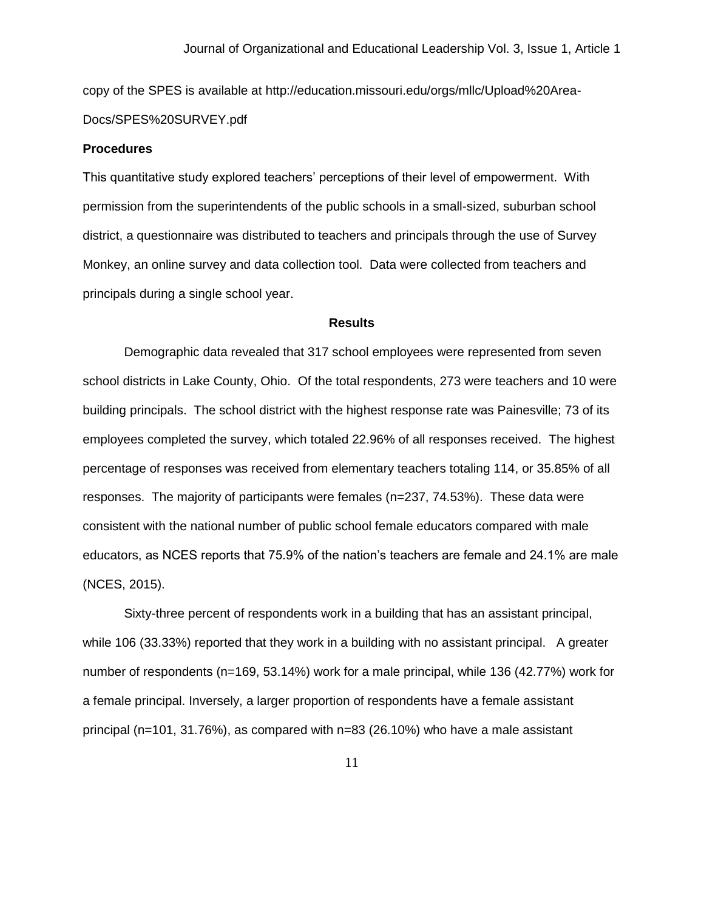copy of the SPES is available at http://education.missouri.edu/orgs/mllc/Upload%20Area-Docs/SPES%20SURVEY.pdf

#### **Procedures**

This quantitative study explored teachers' perceptions of their level of empowerment. With permission from the superintendents of the public schools in a small-sized, suburban school district, a questionnaire was distributed to teachers and principals through the use of Survey Monkey, an online survey and data collection tool. Data were collected from teachers and principals during a single school year.

## **Results**

Demographic data revealed that 317 school employees were represented from seven school districts in Lake County, Ohio. Of the total respondents, 273 were teachers and 10 were building principals. The school district with the highest response rate was Painesville; 73 of its employees completed the survey, which totaled 22.96% of all responses received. The highest percentage of responses was received from elementary teachers totaling 114, or 35.85% of all responses. The majority of participants were females (n=237, 74.53%). These data were consistent with the national number of public school female educators compared with male educators, as NCES reports that 75.9% of the nation's teachers are female and 24.1% are male (NCES, 2015).

Sixty-three percent of respondents work in a building that has an assistant principal, while 106 (33.33%) reported that they work in a building with no assistant principal. A greater number of respondents (n=169, 53.14%) work for a male principal, while 136 (42.77%) work for a female principal. Inversely, a larger proportion of respondents have a female assistant principal (n=101, 31.76%), as compared with n=83 (26.10%) who have a male assistant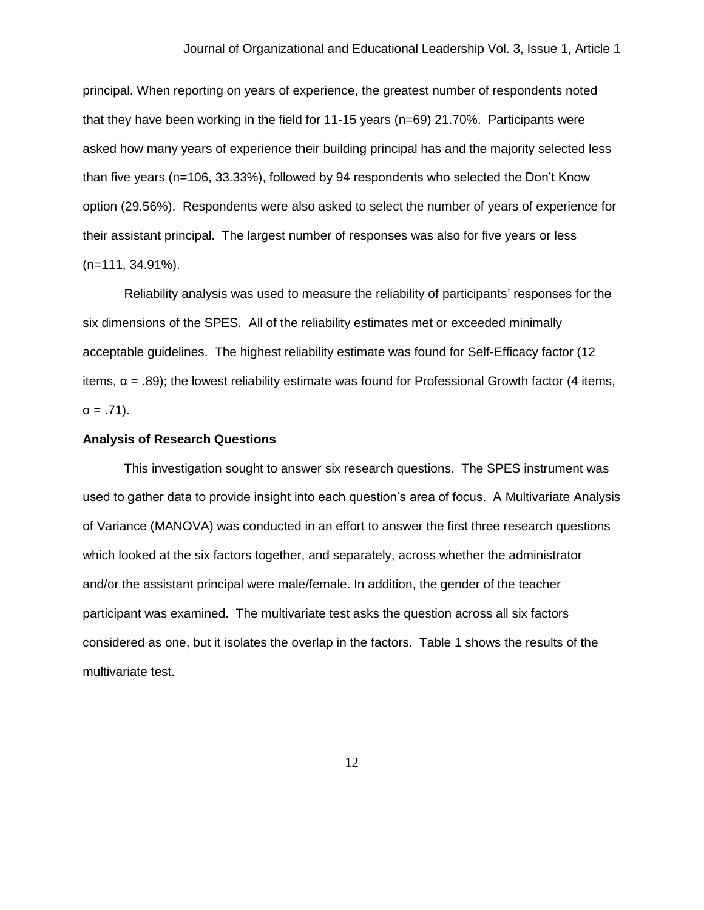principal. When reporting on years of experience, the greatest number of respondents noted that they have been working in the field for 11-15 years (n=69) 21.70%. Participants were asked how many years of experience their building principal has and the majority selected less than five years (n=106, 33.33%), followed by 94 respondents who selected the Don't Know option (29.56%). Respondents were also asked to select the number of years of experience for their assistant principal. The largest number of responses was also for five years or less (n=111, 34.91%).

Reliability analysis was used to measure the reliability of participants' responses for the six dimensions of the SPES. All of the reliability estimates met or exceeded minimally acceptable guidelines. The highest reliability estimate was found for Self-Efficacy factor (12 items,  $α = .89$ ); the lowest reliability estimate was found for Professional Growth factor (4 items,  $α = .71$ ).

#### **Analysis of Research Questions**

This investigation sought to answer six research questions. The SPES instrument was used to gather data to provide insight into each question's area of focus. A Multivariate Analysis of Variance (MANOVA) was conducted in an effort to answer the first three research questions which looked at the six factors together, and separately, across whether the administrator and/or the assistant principal were male/female. In addition, the gender of the teacher participant was examined. The multivariate test asks the question across all six factors considered as one, but it isolates the overlap in the factors. Table 1 shows the results of the multivariate test.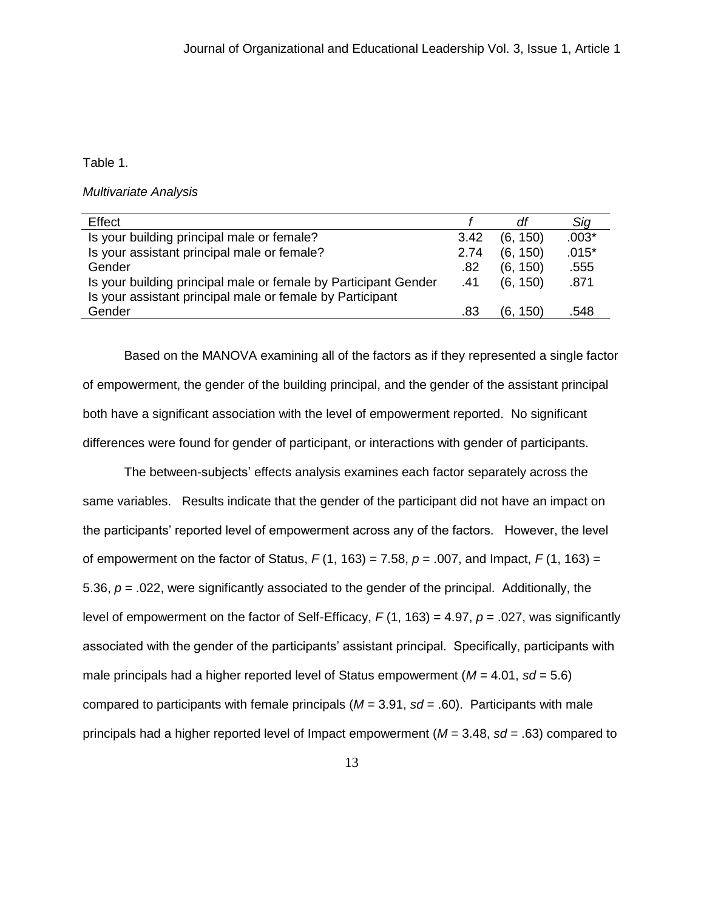### Table 1.

*Multivariate Analysis*

| Effect                                                          |      | df          | Sig     |
|-----------------------------------------------------------------|------|-------------|---------|
| Is your building principal male or female?                      | 3.42 | (6, 150)    | $.003*$ |
| Is your assistant principal male or female?                     | 2.74 | (6, 150)    | $.015*$ |
| Gender                                                          | .82  | (6, 150)    | .555    |
| Is your building principal male or female by Participant Gender | .41  | (6, 150)    | .871    |
| Is your assistant principal male or female by Participant       |      |             |         |
| Gender                                                          | .83  | 150)<br>16. | .548    |
|                                                                 |      |             |         |

Based on the MANOVA examining all of the factors as if they represented a single factor of empowerment, the gender of the building principal, and the gender of the assistant principal both have a significant association with the level of empowerment reported. No significant differences were found for gender of participant, or interactions with gender of participants.

The between-subjects' effects analysis examines each factor separately across the same variables. Results indicate that the gender of the participant did not have an impact on the participants' reported level of empowerment across any of the factors. However, the level of empowerment on the factor of Status, *F* (1, 163) = 7.58, *p* = .007, and Impact, *F* (1, 163) = 5.36, *p* = .022, were significantly associated to the gender of the principal. Additionally, the level of empowerment on the factor of Self-Efficacy, *F* (1, 163) = 4.97, *p* = .027, was significantly associated with the gender of the participants' assistant principal. Specifically, participants with male principals had a higher reported level of Status empowerment  $(M = 4.01, sd = 5.6)$ compared to participants with female principals ( $M = 3.91$ ,  $sd = .60$ ). Participants with male principals had a higher reported level of Impact empowerment (*M* = 3.48, *sd* = .63) compared to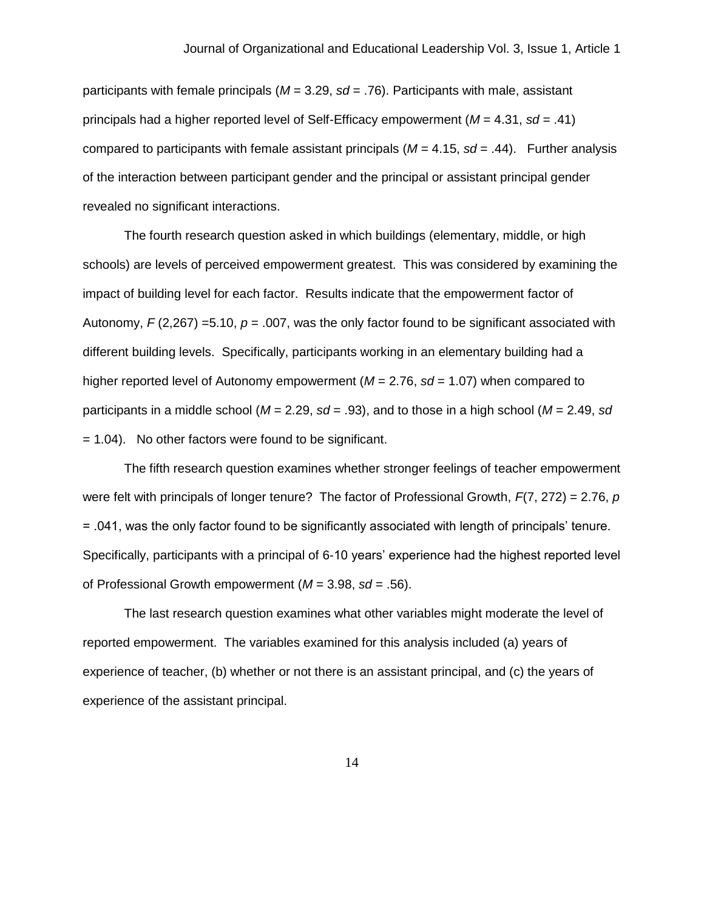participants with female principals (*M* = 3.29, *sd* = .76). Participants with male, assistant principals had a higher reported level of Self-Efficacy empowerment (*M* = 4.31, *sd* = .41) compared to participants with female assistant principals  $(M = 4.15, sd = .44)$ . Further analysis of the interaction between participant gender and the principal or assistant principal gender revealed no significant interactions.

The fourth research question asked in which buildings (elementary, middle, or high schools) are levels of perceived empowerment greatest. This was considered by examining the impact of building level for each factor. Results indicate that the empowerment factor of Autonomy,  $F(2,267) = 5.10$ ,  $p = .007$ , was the only factor found to be significant associated with different building levels. Specifically, participants working in an elementary building had a higher reported level of Autonomy empowerment (*M* = 2.76, *sd* = 1.07) when compared to participants in a middle school (*M* = 2.29, *sd* = .93), and to those in a high school (*M* = 2.49, *sd* = 1.04). No other factors were found to be significant.

The fifth research question examines whether stronger feelings of teacher empowerment were felt with principals of longer tenure? The factor of Professional Growth, *F*(7, 272) = 2.76, *p* = .041, was the only factor found to be significantly associated with length of principals' tenure. Specifically, participants with a principal of 6-10 years' experience had the highest reported level of Professional Growth empowerment (*M* = 3.98, *sd* = .56).

The last research question examines what other variables might moderate the level of reported empowerment. The variables examined for this analysis included (a) years of experience of teacher, (b) whether or not there is an assistant principal, and (c) the years of experience of the assistant principal.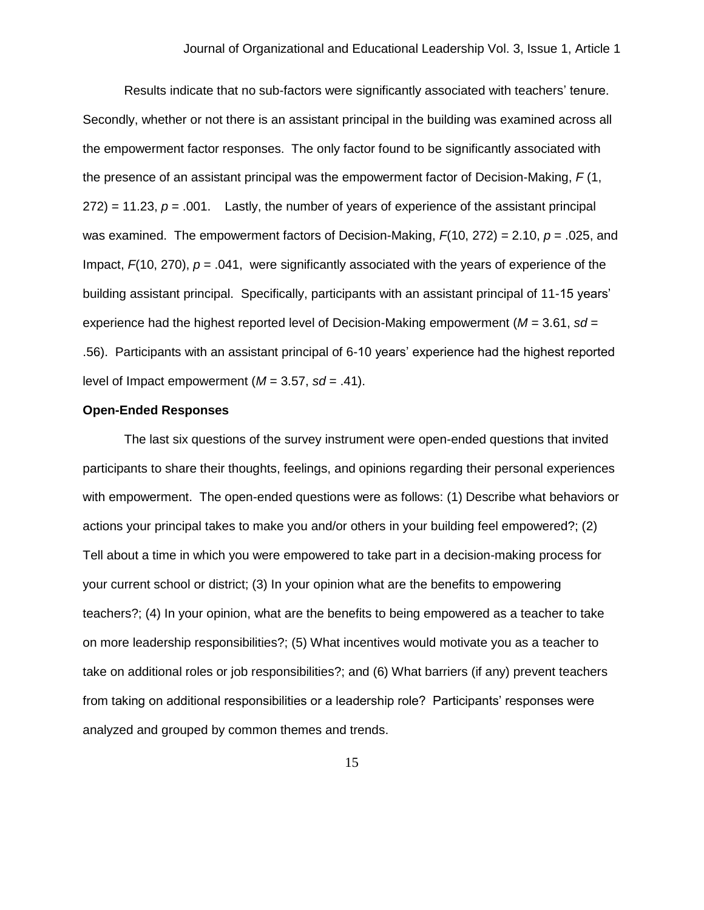Results indicate that no sub-factors were significantly associated with teachers' tenure. Secondly, whether or not there is an assistant principal in the building was examined across all the empowerment factor responses. The only factor found to be significantly associated with the presence of an assistant principal was the empowerment factor of Decision-Making, *F* (1,  $272$ ) = 11.23,  $p = .001$ . Lastly, the number of years of experience of the assistant principal was examined. The empowerment factors of Decision-Making, *F*(10, 272) = 2.10, *p* = .025, and Impact, *F*(10, 270), *p* = .041, were significantly associated with the years of experience of the building assistant principal. Specifically, participants with an assistant principal of 11-15 years' experience had the highest reported level of Decision-Making empowerment (*M* = 3.61, *sd* = .56). Participants with an assistant principal of 6-10 years' experience had the highest reported level of Impact empowerment ( $M = 3.57$ ,  $sd = .41$ ).

#### **Open-Ended Responses**

The last six questions of the survey instrument were open-ended questions that invited participants to share their thoughts, feelings, and opinions regarding their personal experiences with empowerment. The open-ended questions were as follows: (1) Describe what behaviors or actions your principal takes to make you and/or others in your building feel empowered?; (2) Tell about a time in which you were empowered to take part in a decision-making process for your current school or district; (3) In your opinion what are the benefits to empowering teachers?; (4) In your opinion, what are the benefits to being empowered as a teacher to take on more leadership responsibilities?; (5) What incentives would motivate you as a teacher to take on additional roles or job responsibilities?; and (6) What barriers (if any) prevent teachers from taking on additional responsibilities or a leadership role? Participants' responses were analyzed and grouped by common themes and trends.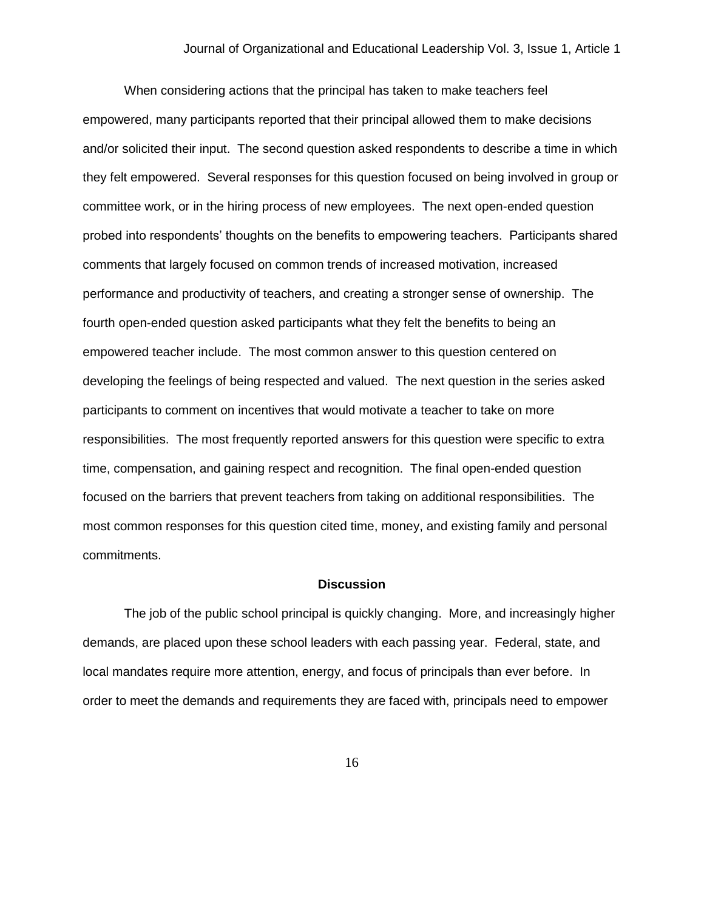When considering actions that the principal has taken to make teachers feel empowered, many participants reported that their principal allowed them to make decisions and/or solicited their input. The second question asked respondents to describe a time in which they felt empowered. Several responses for this question focused on being involved in group or committee work, or in the hiring process of new employees. The next open-ended question probed into respondents' thoughts on the benefits to empowering teachers. Participants shared comments that largely focused on common trends of increased motivation, increased performance and productivity of teachers, and creating a stronger sense of ownership. The fourth open-ended question asked participants what they felt the benefits to being an empowered teacher include. The most common answer to this question centered on developing the feelings of being respected and valued. The next question in the series asked participants to comment on incentives that would motivate a teacher to take on more responsibilities. The most frequently reported answers for this question were specific to extra time, compensation, and gaining respect and recognition. The final open-ended question focused on the barriers that prevent teachers from taking on additional responsibilities. The most common responses for this question cited time, money, and existing family and personal commitments.

#### **Discussion**

The job of the public school principal is quickly changing. More, and increasingly higher demands, are placed upon these school leaders with each passing year. Federal, state, and local mandates require more attention, energy, and focus of principals than ever before. In order to meet the demands and requirements they are faced with, principals need to empower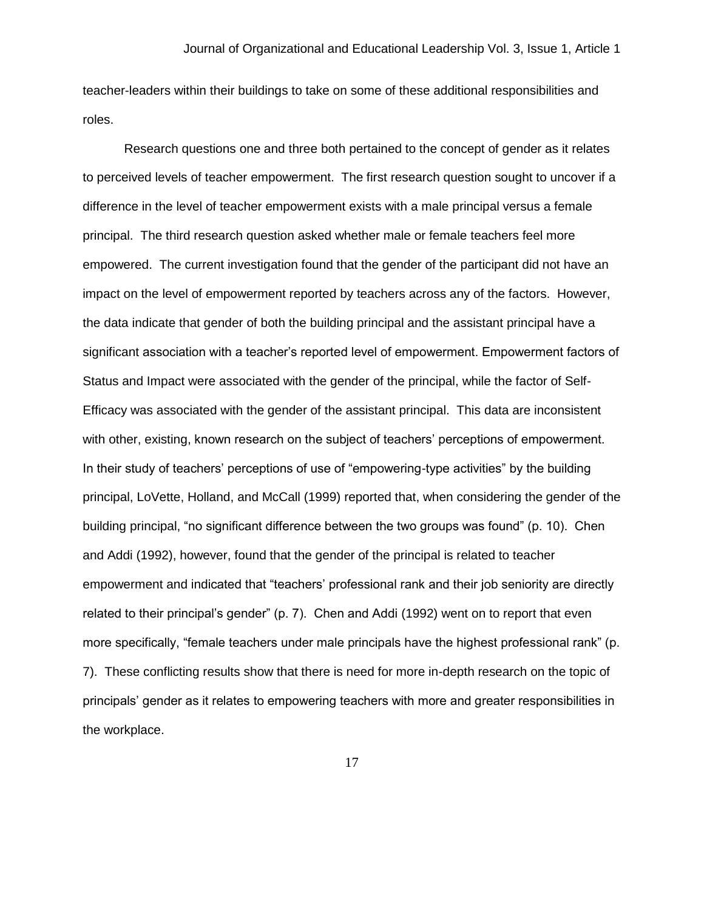teacher-leaders within their buildings to take on some of these additional responsibilities and roles.

Research questions one and three both pertained to the concept of gender as it relates to perceived levels of teacher empowerment. The first research question sought to uncover if a difference in the level of teacher empowerment exists with a male principal versus a female principal. The third research question asked whether male or female teachers feel more empowered. The current investigation found that the gender of the participant did not have an impact on the level of empowerment reported by teachers across any of the factors. However, the data indicate that gender of both the building principal and the assistant principal have a significant association with a teacher's reported level of empowerment. Empowerment factors of Status and Impact were associated with the gender of the principal, while the factor of Self-Efficacy was associated with the gender of the assistant principal. This data are inconsistent with other, existing, known research on the subject of teachers' perceptions of empowerment. In their study of teachers' perceptions of use of "empowering-type activities" by the building principal, LoVette, Holland, and McCall (1999) reported that, when considering the gender of the building principal, "no significant difference between the two groups was found" (p. 10). Chen and Addi (1992), however, found that the gender of the principal is related to teacher empowerment and indicated that "teachers' professional rank and their job seniority are directly related to their principal's gender" (p. 7). Chen and Addi (1992) went on to report that even more specifically, "female teachers under male principals have the highest professional rank" (p. 7). These conflicting results show that there is need for more in-depth research on the topic of principals' gender as it relates to empowering teachers with more and greater responsibilities in the workplace.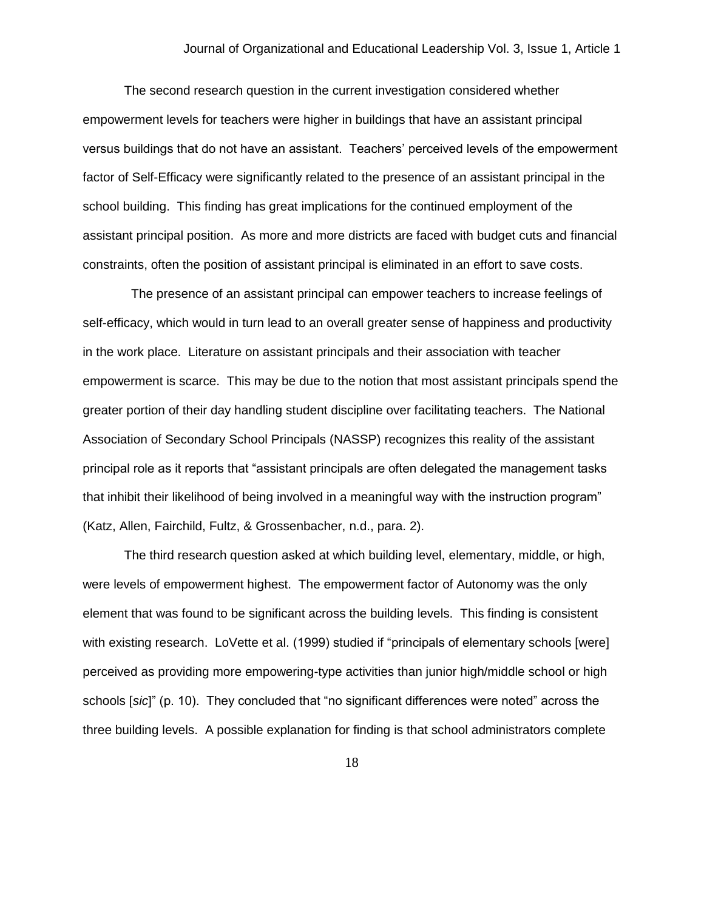The second research question in the current investigation considered whether empowerment levels for teachers were higher in buildings that have an assistant principal versus buildings that do not have an assistant. Teachers' perceived levels of the empowerment factor of Self-Efficacy were significantly related to the presence of an assistant principal in the school building. This finding has great implications for the continued employment of the assistant principal position. As more and more districts are faced with budget cuts and financial constraints, often the position of assistant principal is eliminated in an effort to save costs.

 The presence of an assistant principal can empower teachers to increase feelings of self-efficacy, which would in turn lead to an overall greater sense of happiness and productivity in the work place. Literature on assistant principals and their association with teacher empowerment is scarce. This may be due to the notion that most assistant principals spend the greater portion of their day handling student discipline over facilitating teachers. The National Association of Secondary School Principals (NASSP) recognizes this reality of the assistant principal role as it reports that "assistant principals are often delegated the management tasks that inhibit their likelihood of being involved in a meaningful way with the instruction program" (Katz, Allen, Fairchild, Fultz, & Grossenbacher, n.d., para. 2).

The third research question asked at which building level, elementary, middle, or high, were levels of empowerment highest. The empowerment factor of Autonomy was the only element that was found to be significant across the building levels. This finding is consistent with existing research. LoVette et al. (1999) studied if "principals of elementary schools [were] perceived as providing more empowering-type activities than junior high/middle school or high schools [*sic*]" (p. 10). They concluded that "no significant differences were noted" across the three building levels. A possible explanation for finding is that school administrators complete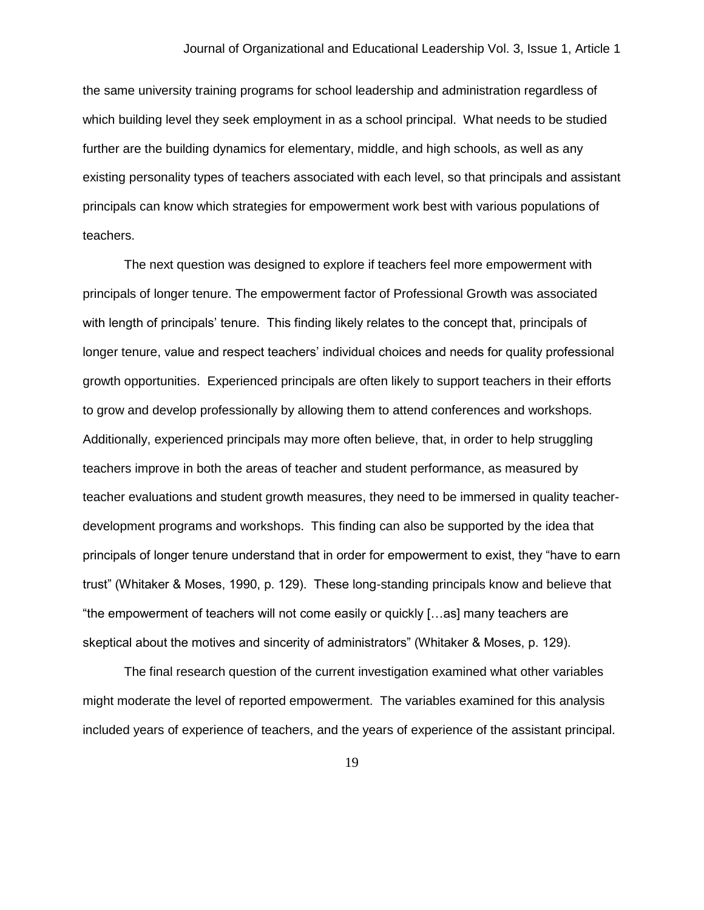the same university training programs for school leadership and administration regardless of which building level they seek employment in as a school principal. What needs to be studied further are the building dynamics for elementary, middle, and high schools, as well as any existing personality types of teachers associated with each level, so that principals and assistant principals can know which strategies for empowerment work best with various populations of teachers.

The next question was designed to explore if teachers feel more empowerment with principals of longer tenure. The empowerment factor of Professional Growth was associated with length of principals' tenure. This finding likely relates to the concept that, principals of longer tenure, value and respect teachers' individual choices and needs for quality professional growth opportunities. Experienced principals are often likely to support teachers in their efforts to grow and develop professionally by allowing them to attend conferences and workshops. Additionally, experienced principals may more often believe, that, in order to help struggling teachers improve in both the areas of teacher and student performance, as measured by teacher evaluations and student growth measures, they need to be immersed in quality teacherdevelopment programs and workshops. This finding can also be supported by the idea that principals of longer tenure understand that in order for empowerment to exist, they "have to earn trust" (Whitaker & Moses, 1990, p. 129). These long-standing principals know and believe that "the empowerment of teachers will not come easily or quickly […as] many teachers are skeptical about the motives and sincerity of administrators" (Whitaker & Moses, p. 129).

The final research question of the current investigation examined what other variables might moderate the level of reported empowerment. The variables examined for this analysis included years of experience of teachers, and the years of experience of the assistant principal.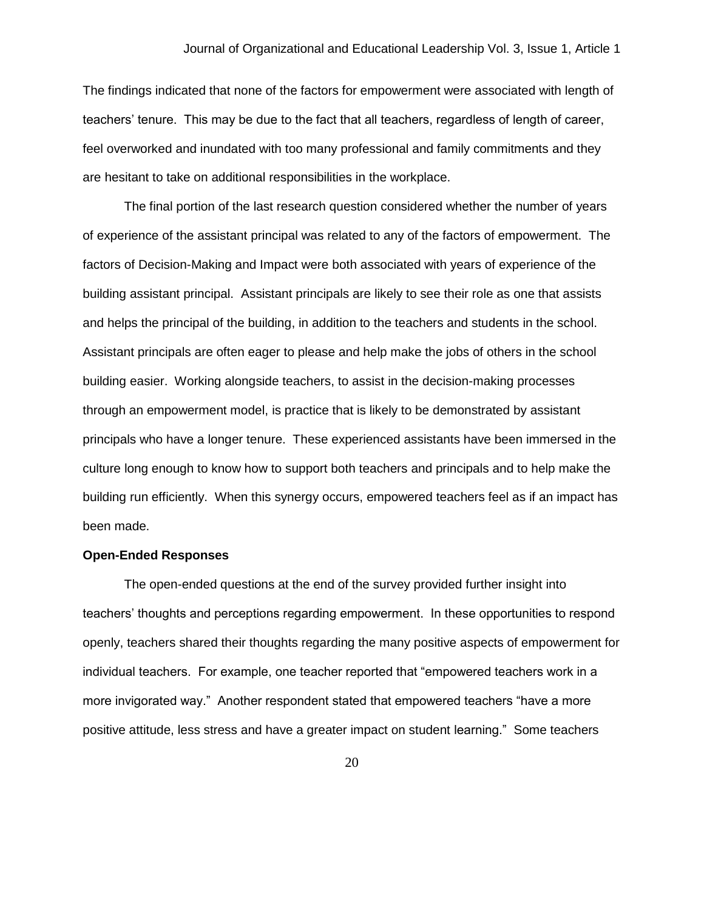The findings indicated that none of the factors for empowerment were associated with length of teachers' tenure. This may be due to the fact that all teachers, regardless of length of career, feel overworked and inundated with too many professional and family commitments and they are hesitant to take on additional responsibilities in the workplace.

The final portion of the last research question considered whether the number of years of experience of the assistant principal was related to any of the factors of empowerment. The factors of Decision-Making and Impact were both associated with years of experience of the building assistant principal. Assistant principals are likely to see their role as one that assists and helps the principal of the building, in addition to the teachers and students in the school. Assistant principals are often eager to please and help make the jobs of others in the school building easier. Working alongside teachers, to assist in the decision-making processes through an empowerment model, is practice that is likely to be demonstrated by assistant principals who have a longer tenure. These experienced assistants have been immersed in the culture long enough to know how to support both teachers and principals and to help make the building run efficiently. When this synergy occurs, empowered teachers feel as if an impact has been made.

#### **Open-Ended Responses**

The open-ended questions at the end of the survey provided further insight into teachers' thoughts and perceptions regarding empowerment. In these opportunities to respond openly, teachers shared their thoughts regarding the many positive aspects of empowerment for individual teachers. For example, one teacher reported that "empowered teachers work in a more invigorated way." Another respondent stated that empowered teachers "have a more positive attitude, less stress and have a greater impact on student learning." Some teachers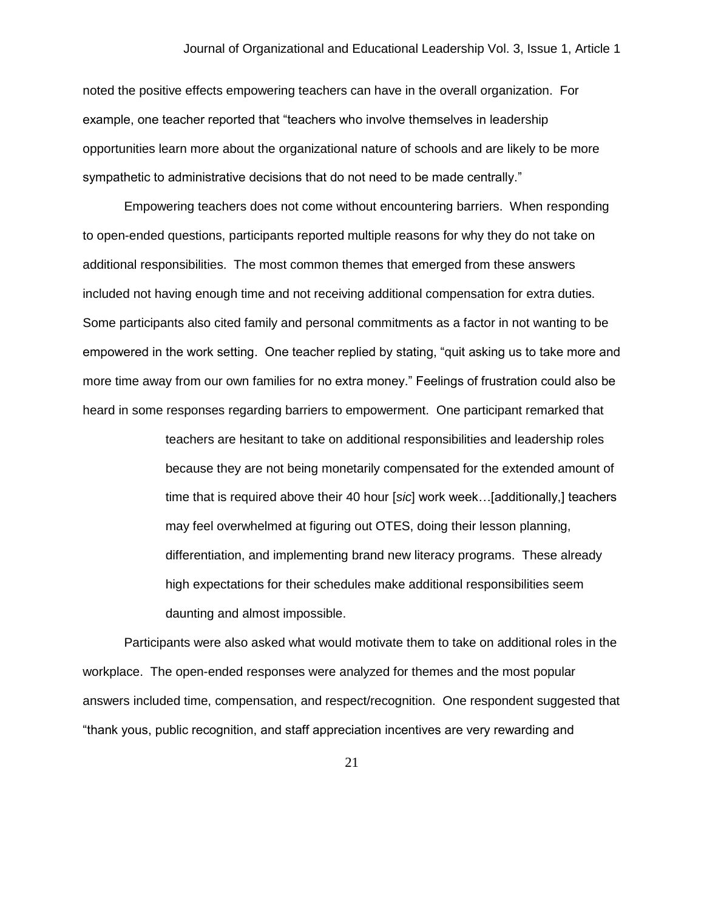noted the positive effects empowering teachers can have in the overall organization. For example, one teacher reported that "teachers who involve themselves in leadership opportunities learn more about the organizational nature of schools and are likely to be more sympathetic to administrative decisions that do not need to be made centrally."

Empowering teachers does not come without encountering barriers. When responding to open-ended questions, participants reported multiple reasons for why they do not take on additional responsibilities. The most common themes that emerged from these answers included not having enough time and not receiving additional compensation for extra duties. Some participants also cited family and personal commitments as a factor in not wanting to be empowered in the work setting. One teacher replied by stating, "quit asking us to take more and more time away from our own families for no extra money." Feelings of frustration could also be heard in some responses regarding barriers to empowerment. One participant remarked that

> teachers are hesitant to take on additional responsibilities and leadership roles because they are not being monetarily compensated for the extended amount of time that is required above their 40 hour [*sic*] work week…[additionally,] teachers may feel overwhelmed at figuring out OTES, doing their lesson planning, differentiation, and implementing brand new literacy programs. These already high expectations for their schedules make additional responsibilities seem daunting and almost impossible.

Participants were also asked what would motivate them to take on additional roles in the workplace. The open-ended responses were analyzed for themes and the most popular answers included time, compensation, and respect/recognition. One respondent suggested that "thank yous, public recognition, and staff appreciation incentives are very rewarding and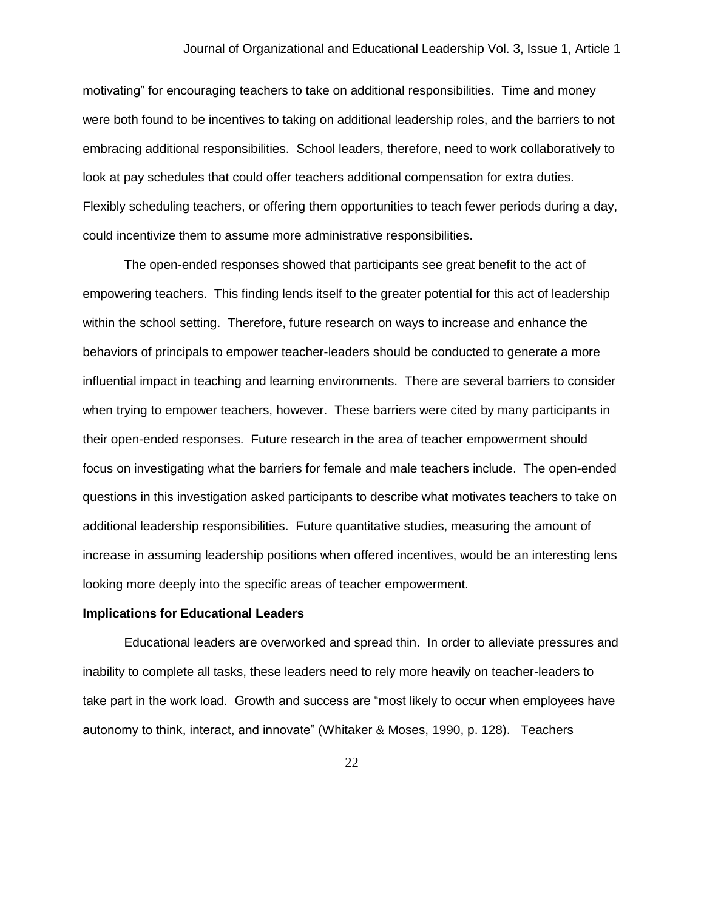motivating" for encouraging teachers to take on additional responsibilities. Time and money were both found to be incentives to taking on additional leadership roles, and the barriers to not embracing additional responsibilities. School leaders, therefore, need to work collaboratively to look at pay schedules that could offer teachers additional compensation for extra duties. Flexibly scheduling teachers, or offering them opportunities to teach fewer periods during a day, could incentivize them to assume more administrative responsibilities.

The open-ended responses showed that participants see great benefit to the act of empowering teachers. This finding lends itself to the greater potential for this act of leadership within the school setting. Therefore, future research on ways to increase and enhance the behaviors of principals to empower teacher-leaders should be conducted to generate a more influential impact in teaching and learning environments. There are several barriers to consider when trying to empower teachers, however. These barriers were cited by many participants in their open-ended responses. Future research in the area of teacher empowerment should focus on investigating what the barriers for female and male teachers include. The open-ended questions in this investigation asked participants to describe what motivates teachers to take on additional leadership responsibilities. Future quantitative studies, measuring the amount of increase in assuming leadership positions when offered incentives, would be an interesting lens looking more deeply into the specific areas of teacher empowerment.

#### **Implications for Educational Leaders**

Educational leaders are overworked and spread thin. In order to alleviate pressures and inability to complete all tasks, these leaders need to rely more heavily on teacher-leaders to take part in the work load. Growth and success are "most likely to occur when employees have autonomy to think, interact, and innovate" (Whitaker & Moses, 1990, p. 128). Teachers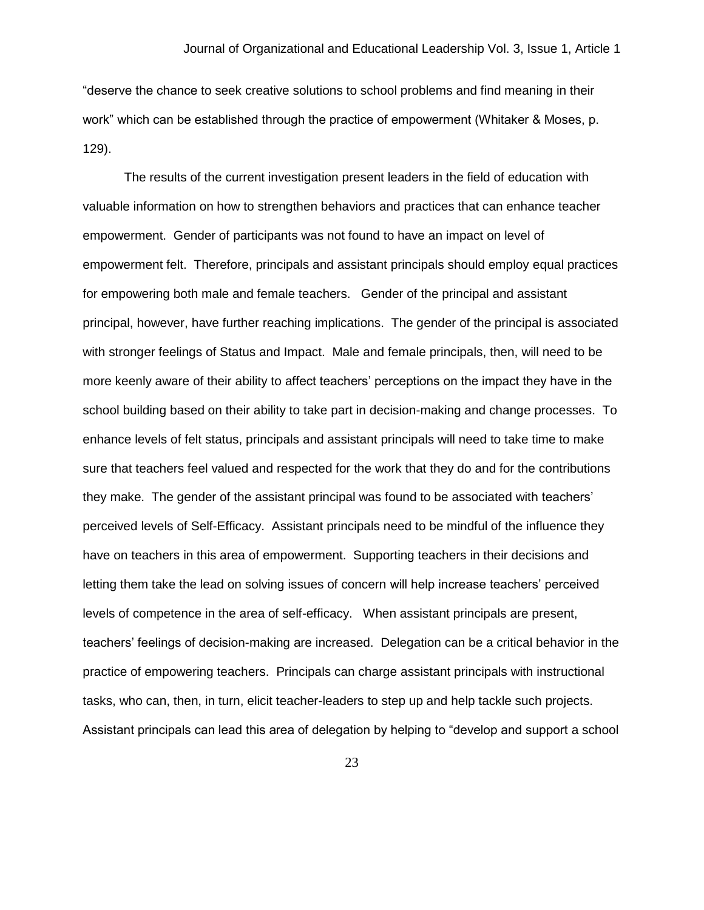"deserve the chance to seek creative solutions to school problems and find meaning in their work" which can be established through the practice of empowerment (Whitaker & Moses, p. 129).

The results of the current investigation present leaders in the field of education with valuable information on how to strengthen behaviors and practices that can enhance teacher empowerment. Gender of participants was not found to have an impact on level of empowerment felt. Therefore, principals and assistant principals should employ equal practices for empowering both male and female teachers. Gender of the principal and assistant principal, however, have further reaching implications. The gender of the principal is associated with stronger feelings of Status and Impact. Male and female principals, then, will need to be more keenly aware of their ability to affect teachers' perceptions on the impact they have in the school building based on their ability to take part in decision-making and change processes. To enhance levels of felt status, principals and assistant principals will need to take time to make sure that teachers feel valued and respected for the work that they do and for the contributions they make. The gender of the assistant principal was found to be associated with teachers' perceived levels of Self-Efficacy. Assistant principals need to be mindful of the influence they have on teachers in this area of empowerment. Supporting teachers in their decisions and letting them take the lead on solving issues of concern will help increase teachers' perceived levels of competence in the area of self-efficacy. When assistant principals are present, teachers' feelings of decision-making are increased. Delegation can be a critical behavior in the practice of empowering teachers. Principals can charge assistant principals with instructional tasks, who can, then, in turn, elicit teacher-leaders to step up and help tackle such projects. Assistant principals can lead this area of delegation by helping to "develop and support a school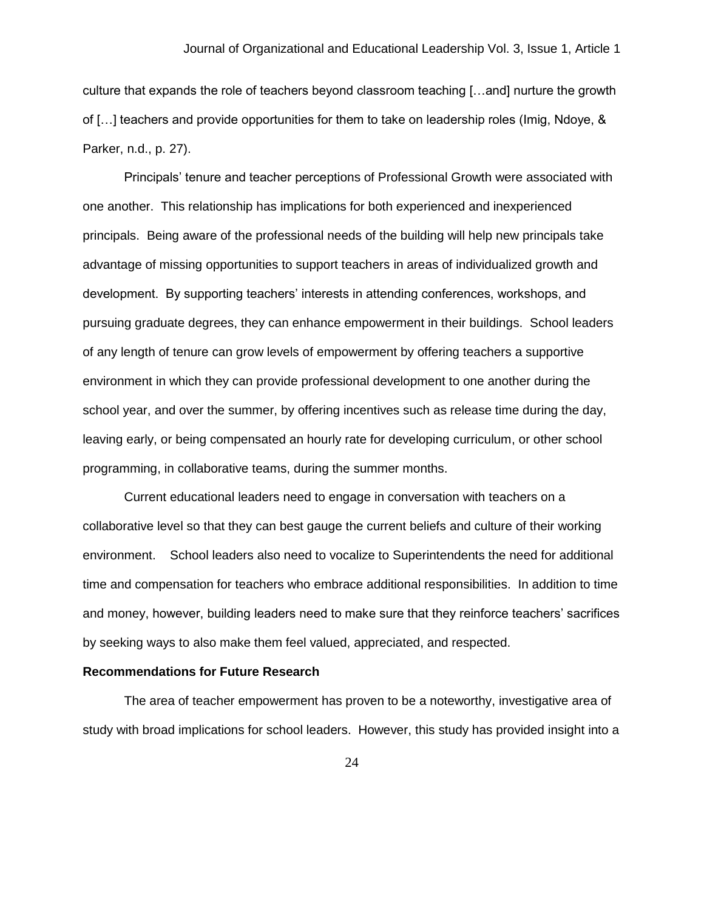culture that expands the role of teachers beyond classroom teaching […and] nurture the growth of […] teachers and provide opportunities for them to take on leadership roles (Imig, Ndoye, & Parker, n.d., p. 27).

Principals' tenure and teacher perceptions of Professional Growth were associated with one another. This relationship has implications for both experienced and inexperienced principals. Being aware of the professional needs of the building will help new principals take advantage of missing opportunities to support teachers in areas of individualized growth and development. By supporting teachers' interests in attending conferences, workshops, and pursuing graduate degrees, they can enhance empowerment in their buildings. School leaders of any length of tenure can grow levels of empowerment by offering teachers a supportive environment in which they can provide professional development to one another during the school year, and over the summer, by offering incentives such as release time during the day, leaving early, or being compensated an hourly rate for developing curriculum, or other school programming, in collaborative teams, during the summer months.

Current educational leaders need to engage in conversation with teachers on a collaborative level so that they can best gauge the current beliefs and culture of their working environment. School leaders also need to vocalize to Superintendents the need for additional time and compensation for teachers who embrace additional responsibilities. In addition to time and money, however, building leaders need to make sure that they reinforce teachers' sacrifices by seeking ways to also make them feel valued, appreciated, and respected.

#### **Recommendations for Future Research**

The area of teacher empowerment has proven to be a noteworthy, investigative area of study with broad implications for school leaders. However, this study has provided insight into a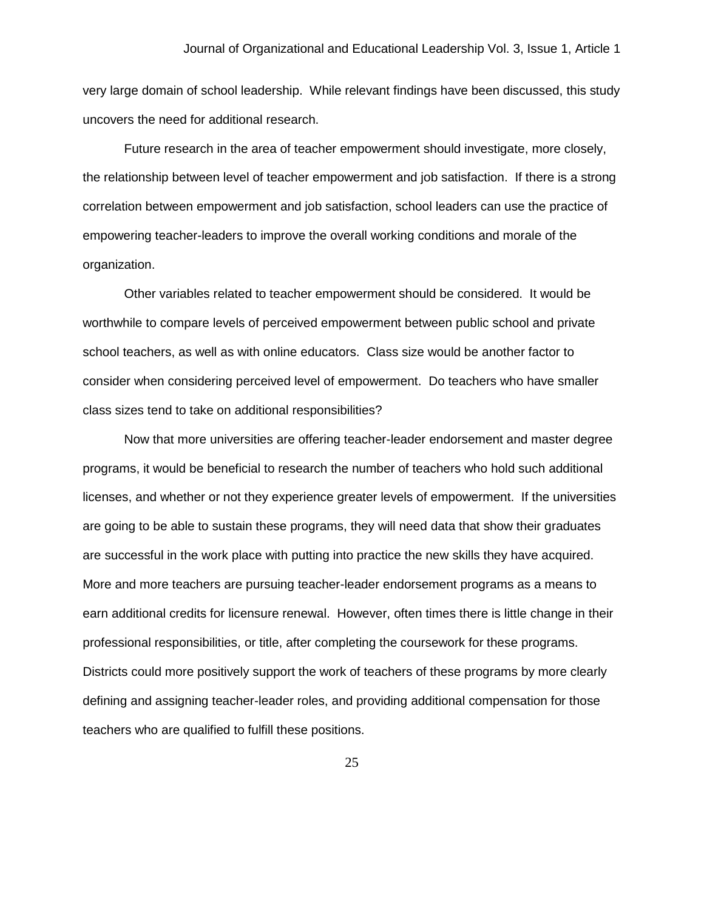very large domain of school leadership. While relevant findings have been discussed, this study uncovers the need for additional research.

Future research in the area of teacher empowerment should investigate, more closely, the relationship between level of teacher empowerment and job satisfaction. If there is a strong correlation between empowerment and job satisfaction, school leaders can use the practice of empowering teacher-leaders to improve the overall working conditions and morale of the organization.

Other variables related to teacher empowerment should be considered. It would be worthwhile to compare levels of perceived empowerment between public school and private school teachers, as well as with online educators. Class size would be another factor to consider when considering perceived level of empowerment. Do teachers who have smaller class sizes tend to take on additional responsibilities?

Now that more universities are offering teacher-leader endorsement and master degree programs, it would be beneficial to research the number of teachers who hold such additional licenses, and whether or not they experience greater levels of empowerment. If the universities are going to be able to sustain these programs, they will need data that show their graduates are successful in the work place with putting into practice the new skills they have acquired. More and more teachers are pursuing teacher-leader endorsement programs as a means to earn additional credits for licensure renewal. However, often times there is little change in their professional responsibilities, or title, after completing the coursework for these programs. Districts could more positively support the work of teachers of these programs by more clearly defining and assigning teacher-leader roles, and providing additional compensation for those teachers who are qualified to fulfill these positions.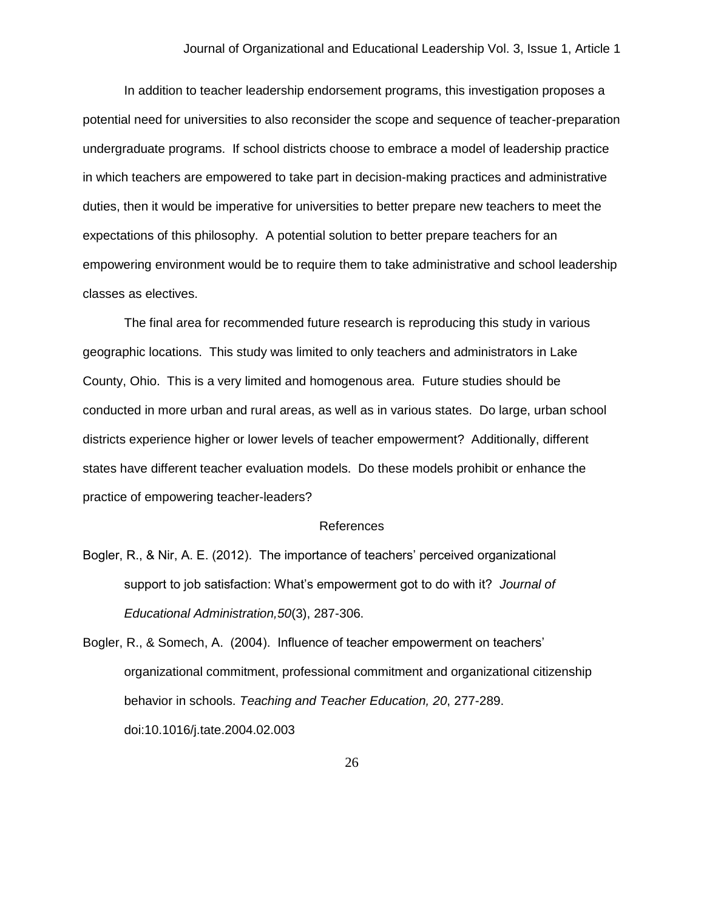In addition to teacher leadership endorsement programs, this investigation proposes a potential need for universities to also reconsider the scope and sequence of teacher-preparation undergraduate programs. If school districts choose to embrace a model of leadership practice in which teachers are empowered to take part in decision-making practices and administrative duties, then it would be imperative for universities to better prepare new teachers to meet the expectations of this philosophy. A potential solution to better prepare teachers for an empowering environment would be to require them to take administrative and school leadership classes as electives.

The final area for recommended future research is reproducing this study in various geographic locations. This study was limited to only teachers and administrators in Lake County, Ohio. This is a very limited and homogenous area. Future studies should be conducted in more urban and rural areas, as well as in various states. Do large, urban school districts experience higher or lower levels of teacher empowerment? Additionally, different states have different teacher evaluation models. Do these models prohibit or enhance the practice of empowering teacher-leaders?

#### References

- Bogler, R., & Nir, A. E. (2012). The importance of teachers' perceived organizational support to job satisfaction: What's empowerment got to do with it? *Journal of Educational Administration,50*(3), 287-306.
- Bogler, R., & Somech, A. (2004). Influence of teacher empowerment on teachers' organizational commitment, professional commitment and organizational citizenship behavior in schools. *Teaching and Teacher Education, 20*, 277-289. doi:10.1016/j.tate.2004.02.003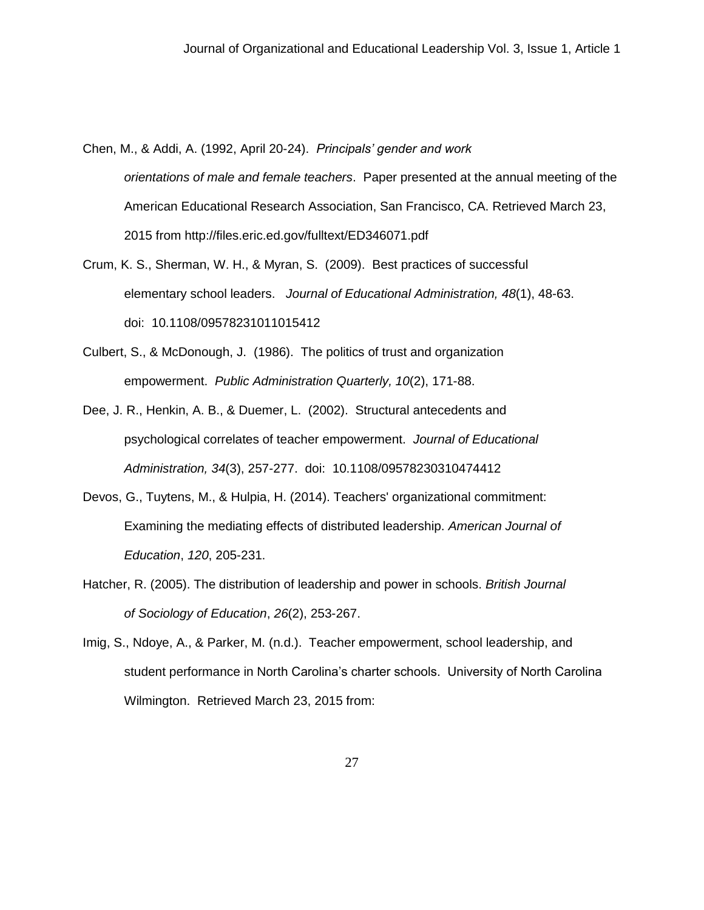Chen, M., & Addi, A. (1992, April 20-24). *Principals' gender and work orientations of male and female teachers*. Paper presented at the annual meeting of the American Educational Research Association, San Francisco, CA. Retrieved March 23, 2015 from http://files.eric.ed.gov/fulltext/ED346071.pdf

- Crum, K. S., Sherman, W. H., & Myran, S. (2009). Best practices of successful elementary school leaders. *Journal of Educational Administration, 48*(1), 48-63. doi: 10.1108/09578231011015412
- Culbert, S., & McDonough, J. (1986). The politics of trust and organization empowerment. *Public Administration Quarterly, 10*(2), 171-88.
- Dee, J. R., Henkin, A. B., & Duemer, L. (2002). Structural antecedents and psychological correlates of teacher empowerment. *Journal of Educational Administration, 34*(3), 257-277. doi: 10.1108/09578230310474412
- Devos, G., Tuytens, M., & Hulpia, H. (2014). Teachers' organizational commitment: Examining the mediating effects of distributed leadership. *American Journal of Education*, *120*, 205-231.
- Hatcher, R. (2005). The distribution of leadership and power in schools. *British Journal of Sociology of Education*, *26*(2), 253-267.
- Imig, S., Ndoye, A., & Parker, M. (n.d.). Teacher empowerment, school leadership, and student performance in North Carolina's charter schools. University of North Carolina Wilmington. Retrieved March 23, 2015 from: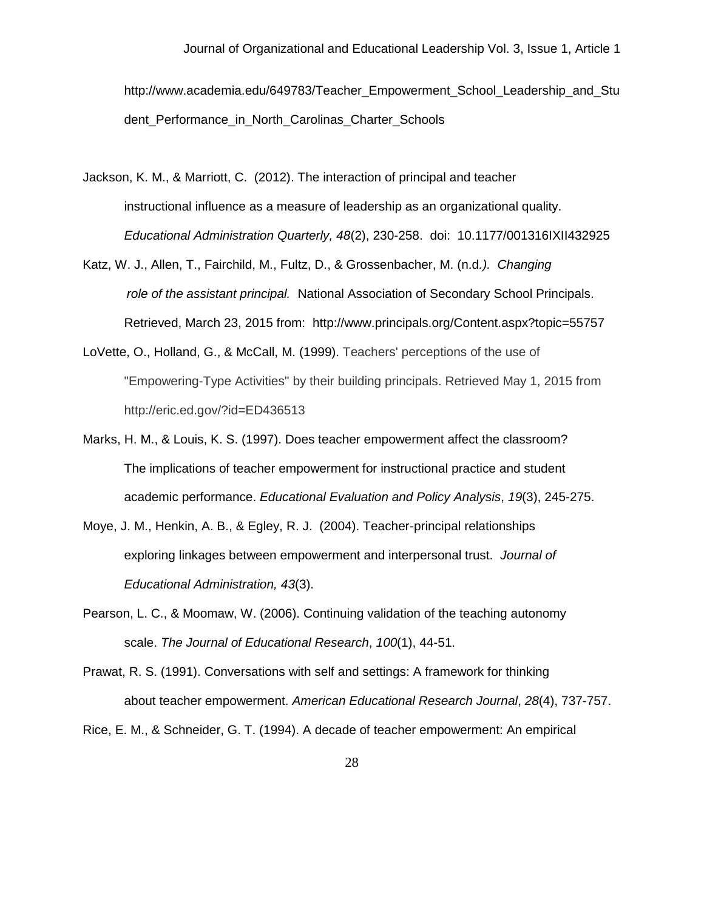http://www.academia.edu/649783/Teacher\_Empowerment\_School\_Leadership\_and\_Stu dent\_Performance\_in\_North\_Carolinas\_Charter\_Schools

- Jackson, K. M., & Marriott, C. (2012). The interaction of principal and teacher instructional influence as a measure of leadership as an organizational quality. *Educational Administration Quarterly, 48*(2), 230-258. doi: 10.1177/001316IXII432925
- Katz, W. J., Allen, T., Fairchild, M., Fultz, D., & Grossenbacher, M. (n.d*.). Changing role of the assistant principal.* National Association of Secondary School Principals. Retrieved, March 23, 2015 from: <http://www.principals.org/Content.aspx?topic=55757>
- LoVette, O., Holland, G., & McCall, M. (1999). Teachers' perceptions of the use of "Empowering-Type Activities" by their building principals. Retrieved May 1, 2015 from http://eric.ed.gov/?id=ED436513
- Marks, H. M., & Louis, K. S. (1997). Does teacher empowerment affect the classroom? The implications of teacher empowerment for instructional practice and student academic performance. *Educational Evaluation and Policy Analysis*, *19*(3), 245-275.
- Moye, J. M., Henkin, A. B., & Egley, R. J. (2004). Teacher-principal relationships exploring linkages between empowerment and interpersonal trust. *Journal of Educational Administration, 43*(3).
- Pearson, L. C., & Moomaw, W. (2006). Continuing validation of the teaching autonomy scale. *The Journal of Educational Research*, *100*(1), 44-51.
- Prawat, R. S. (1991). Conversations with self and settings: A framework for thinking about teacher empowerment. *American Educational Research Journal*, *28*(4), 737-757.
- Rice, E. M., & Schneider, G. T. (1994). A decade of teacher empowerment: An empirical